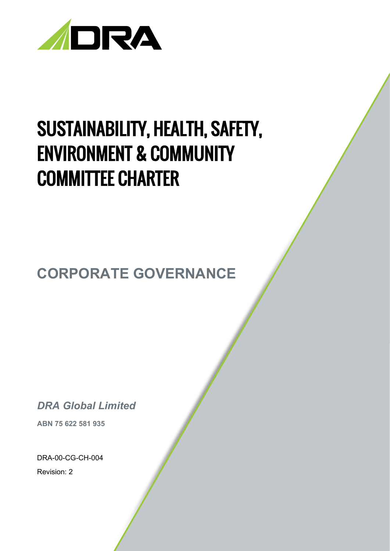

# SUSTAINABILITY, HEALTH, SAFETY, ENVIRONMENT & COMMUNITY COMMITTEE CHARTER

**CORPORATE GOVERNANCE**

*DRA Global Limited*

**ABN 75 622 581 935**

DRA-00-CG-CH-004

Revision: 2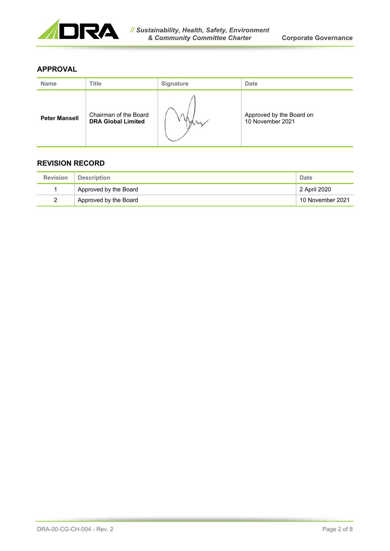

# **APPROVAL**

| <b>Name</b>          | Title                                              | <b>Signature</b> | <b>Date</b>                                  |
|----------------------|----------------------------------------------------|------------------|----------------------------------------------|
| <b>Peter Mansell</b> | Chairman of the Board<br><b>DRA Global Limited</b> |                  | Approved by the Board on<br>10 November 2021 |

# **REVISION RECORD**

| <b>Revision</b> | Description           | Date             |
|-----------------|-----------------------|------------------|
|                 | Approved by the Board | 2 April 2020     |
|                 | Approved by the Board | 10 November 2021 |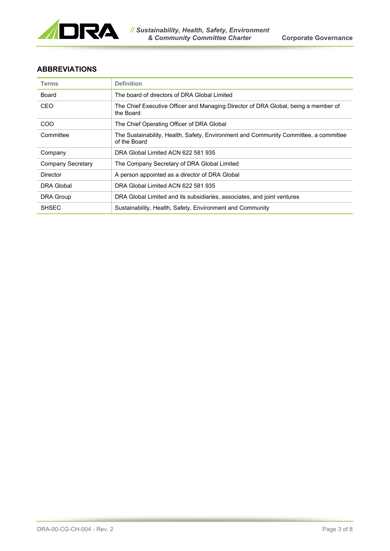

## **ABBREVIATIONS**

| <b>Terms</b>             | <b>Definition</b>                                                                                    |
|--------------------------|------------------------------------------------------------------------------------------------------|
| Board                    | The board of directors of DRA Global Limited                                                         |
| CEO                      | The Chief Executive Officer and Managing Director of DRA Global, being a member of<br>the Board      |
| <b>COO</b>               | The Chief Operating Officer of DRA Global                                                            |
| Committee                | The Sustainability, Health, Safety, Environment and Community Committee, a committee<br>of the Board |
| Company                  | DRA Global Limited ACN 622 581 935                                                                   |
| <b>Company Secretary</b> | The Company Secretary of DRA Global Limited                                                          |
| Director                 | A person appointed as a director of DRA Global                                                       |
| DRA Global               | DRA Global Limited ACN 622 581 935                                                                   |
| <b>DRA Group</b>         | DRA Global Limited and its subsidiaries, associates, and joint ventures                              |
| <b>SHSEC</b>             | Sustainability, Health, Safety, Environment and Community                                            |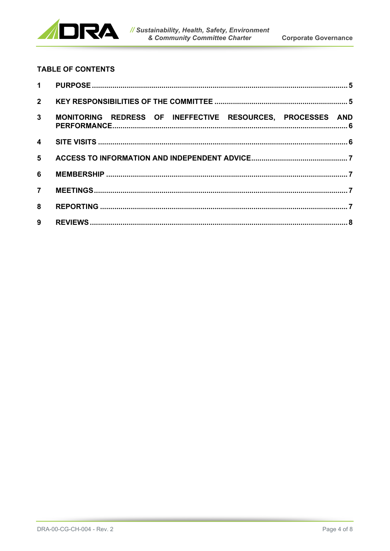

# **TABLE OF CONTENTS**

| $2^{\circ}$    |                                                            |  |
|----------------|------------------------------------------------------------|--|
| 3 <sup>1</sup> | MONITORING REDRESS OF INEFFECTIVE RESOURCES, PROCESSES AND |  |
|                |                                                            |  |
| 5              |                                                            |  |
| 6              |                                                            |  |
| $\overline{7}$ |                                                            |  |
| 8              |                                                            |  |
| 9              |                                                            |  |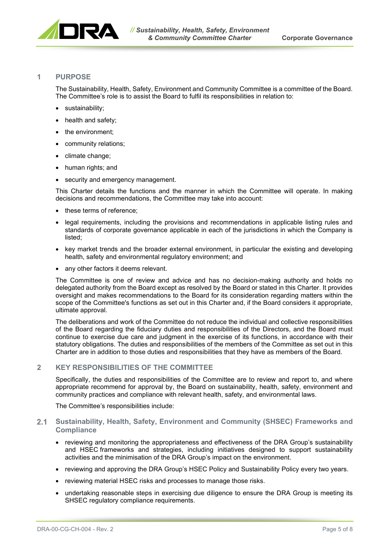

#### <span id="page-4-0"></span>**1 PURPOSE**

The Sustainability, Health, Safety, Environment and Community Committee is a committee of the Board. The Committee's role is to assist the Board to fulfil its responsibilities in relation to:

- sustainability;
- health and safety;
- the environment;
- community relations;
- climate change;
- human rights; and
- security and emergency management.

This Charter details the functions and the manner in which the Committee will operate. In making decisions and recommendations, the Committee may take into account:

- these terms of reference;
- legal requirements, including the provisions and recommendations in applicable listing rules and standards of corporate governance applicable in each of the jurisdictions in which the Company is listed;
- key market trends and the broader external environment, in particular the existing and developing health, safety and environmental regulatory environment; and
- any other factors it deems relevant.

The Committee is one of review and advice and has no decision-making authority and holds no delegated authority from the Board except as resolved by the Board or stated in this Charter. It provides oversight and makes recommendations to the Board for its consideration regarding matters within the scope of the Committee's functions as set out in this Charter and, if the Board considers it appropriate, ultimate approval.

The deliberations and work of the Committee do not reduce the individual and collective responsibilities of the Board regarding the fiduciary duties and responsibilities of the Directors, and the Board must continue to exercise due care and judgment in the exercise of its functions, in accordance with their statutory obligations. The duties and responsibilities of the members of the Committee as set out in this Charter are in addition to those duties and responsibilities that they have as members of the Board.

#### <span id="page-4-1"></span>**2 KEY RESPONSIBILITIES OF THE COMMITTEE**

Specifically, the duties and responsibilities of the Committee are to review and report to, and where appropriate recommend for approval by, the Board on sustainability, health, safety, environment and community practices and compliance with relevant health, safety, and environmental laws.

The Committee's responsibilities include:

#### **Sustainability, Health, Safety, Environment and Community (SHSEC) Frameworks and Compliance**

- reviewing and monitoring the appropriateness and effectiveness of the DRA Group's sustainability and HSEC frameworks and strategies, including initiatives designed to support sustainability activities and the minimisation of the DRA Group's impact on the environment.
- reviewing and approving the DRA Group's HSEC Policy and Sustainability Policy every two years.
- reviewing material HSEC risks and processes to manage those risks.
- undertaking reasonable steps in exercising due diligence to ensure the DRA Group is meeting its SHSEC regulatory compliance requirements.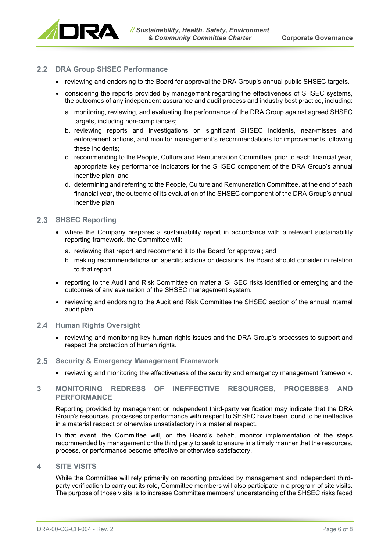

### 2.2 DRA Group SHSEC Performance

- reviewing and endorsing to the Board for approval the DRA Group's annual public SHSEC targets.
- considering the reports provided by management regarding the effectiveness of SHSEC systems, the outcomes of any independent assurance and audit process and industry best practice, including:
	- a. monitoring, reviewing, and evaluating the performance of the DRA Group against agreed SHSEC targets, including non-compliances;
	- b. reviewing reports and investigations on significant SHSEC incidents, near-misses and enforcement actions, and monitor management's recommendations for improvements following these incidents;
	- c. recommending to the People, Culture and Remuneration Committee, prior to each financial year, appropriate key performance indicators for the SHSEC component of the DRA Group's annual incentive plan; and
	- d. determining and referring to the People, Culture and Remuneration Committee, at the end of each financial year, the outcome of its evaluation of the SHSEC component of the DRA Group's annual incentive plan.

#### 2.3 **SHSEC Reporting**

- where the Company prepares a sustainability report in accordance with a relevant sustainability reporting framework, the Committee will:
	- a. reviewing that report and recommend it to the Board for approval; and
	- b. making recommendations on specific actions or decisions the Board should consider in relation to that report.
- reporting to the Audit and Risk Committee on material SHSEC risks identified or emerging and the outcomes of any evaluation of the SHSEC management system.
- reviewing and endorsing to the Audit and Risk Committee the SHSEC section of the annual internal audit plan.

#### **2.4 Human Rights Oversight**

• reviewing and monitoring key human rights issues and the DRA Group's processes to support and respect the protection of human rights.

#### $2.5$ **Security & Emergency Management Framework**

• reviewing and monitoring the effectiveness of the security and emergency management framework.

#### <span id="page-5-0"></span>**3 MONITORING REDRESS OF INEFFECTIVE RESOURCES, PROCESSES AND PERFORMANCE**

Reporting provided by management or independent third-party verification may indicate that the DRA Group's resources, processes or performance with respect to SHSEC have been found to be ineffective in a material respect or otherwise unsatisfactory in a material respect.

In that event, the Committee will, on the Board's behalf, monitor implementation of the steps recommended by management or the third party to seek to ensure in a timely manner that the resources, process, or performance become effective or otherwise satisfactory.

#### <span id="page-5-1"></span>**4 SITE VISITS**

While the Committee will rely primarily on reporting provided by management and independent thirdparty verification to carry out its role, Committee members will also participate in a program of site visits. The purpose of those visits is to increase Committee members' understanding of the SHSEC risks faced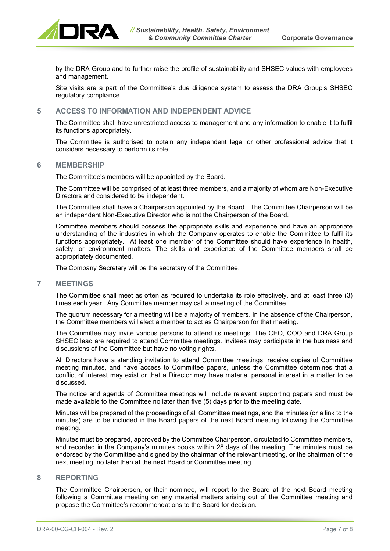

by the DRA Group and to further raise the profile of sustainability and SHSEC values with employees and management.

Site visits are a part of the Committee's due diligence system to assess the DRA Group's SHSEC regulatory compliance.

#### <span id="page-6-0"></span>**5 ACCESS TO INFORMATION AND INDEPENDENT ADVICE**

The Committee shall have unrestricted access to management and any information to enable it to fulfil its functions appropriately.

The Committee is authorised to obtain any independent legal or other professional advice that it considers necessary to perform its role.

#### <span id="page-6-1"></span>**6 MEMBERSHIP**

The Committee's members will be appointed by the Board.

The Committee will be comprised of at least three members, and a majority of whom are Non-Executive Directors and considered to be independent.

The Committee shall have a Chairperson appointed by the Board. The Committee Chairperson will be an independent Non-Executive Director who is not the Chairperson of the Board.

Committee members should possess the appropriate skills and experience and have an appropriate understanding of the industries in which the Company operates to enable the Committee to fulfil its functions appropriately. At least one member of the Committee should have experience in health, safety, or environment matters. The skills and experience of the Committee members shall be appropriately documented.

The Company Secretary will be the secretary of the Committee.

#### <span id="page-6-2"></span>**7 MEETINGS**

The Committee shall meet as often as required to undertake its role effectively, and at least three (3) times each year. Any Committee member may call a meeting of the Committee.

The quorum necessary for a meeting will be a majority of members. In the absence of the Chairperson, the Committee members will elect a member to act as Chairperson for that meeting.

The Committee may invite various persons to attend its meetings. The CEO, COO and DRA Group SHSEC lead are required to attend Committee meetings. Invitees may participate in the business and discussions of the Committee but have no voting rights.

All Directors have a standing invitation to attend Committee meetings, receive copies of Committee meeting minutes, and have access to Committee papers, unless the Committee determines that a conflict of interest may exist or that a Director may have material personal interest in a matter to be discussed.

The notice and agenda of Committee meetings will include relevant supporting papers and must be made available to the Committee no later than five (5) days prior to the meeting date.

Minutes will be prepared of the proceedings of all Committee meetings, and the minutes (or a link to the minutes) are to be included in the Board papers of the next Board meeting following the Committee meeting.

Minutes must be prepared, approved by the Committee Chairperson, circulated to Committee members, and recorded in the Company's minutes books within 28 days of the meeting. The minutes must be endorsed by the Committee and signed by the chairman of the relevant meeting, or the chairman of the next meeting, no later than at the next Board or Committee meeting

#### <span id="page-6-3"></span>**8 REPORTING**

The Committee Chairperson, or their nominee, will report to the Board at the next Board meeting following a Committee meeting on any material matters arising out of the Committee meeting and propose the Committee's recommendations to the Board for decision.